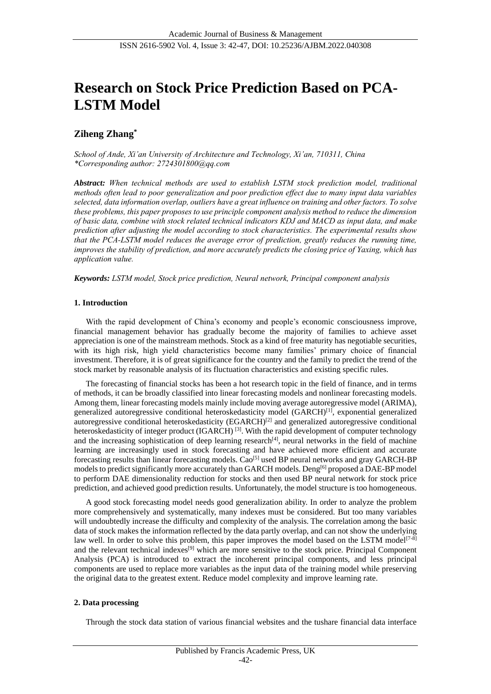# **Research on Stock Price Prediction Based on PCA-LSTM Model**

# **Ziheng Zhang\***

*School of Ande, Xi'an University of Architecture and Technology, Xi'an, 710311, China \*Corresponding author: 2724301800@qq.com* 

*Abstract: When technical methods are used to establish LSTM stock prediction model, traditional methods often lead to poor generalization and poor prediction effect due to many input data variables selected, data information overlap, outliers have a great influence on training and other factors. To solve these problems, this paper proposes to use principle component analysis method to reduce the dimension of basic data, combine with stock related technical indicators KDJ and MACD as input data, and make prediction after adjusting the model according to stock characteristics. The experimental results show that the PCA-LSTM model reduces the average error of prediction, greatly reduces the running time, improves the stability of prediction, and more accurately predicts the closing price of Yaxing, which has application value.* 

*Keywords: LSTM model, Stock price prediction, Neural network, Principal component analysis* 

# **1. Introduction**

With the rapid development of China's economy and people's economic consciousness improve, financial management behavior has gradually become the majority of families to achieve asset appreciation is one of the mainstream methods. Stock as a kind of free maturity has negotiable securities, with its high risk, high yield characteristics become many families' primary choice of financial investment. Therefore, it is of great significance for the country and the family to predict the trend of the stock market by reasonable analysis of its fluctuation characteristics and existing specific rules.

The forecasting of financial stocks has been a hot research topic in the field of finance, and in terms of methods, it can be broadly classified into linear forecasting models and nonlinear forecasting models. Among them, linear forecasting models mainly include moving average autoregressive model (ARIMA), generalized autoregressive conditional heteroskedasticity model (GARCH)<sup>[1]</sup>, exponential generalized autoregressive conditional heteroskedasticity (EGARCH)<sup>[2]</sup> and generalized autoregressive conditional heteroskedasticity of integer product (IGARCH)<sup>[3]</sup>. With the rapid development of computer technology and the increasing sophistication of deep learning research<sup>[4]</sup>, neural networks in the field of machine learning are increasingly used in stock forecasting and have achieved more efficient and accurate forecasting results than linear forecasting models. Cao<sup>[5]</sup> used BP neural networks and gray GARCH-BP models to predict significantly more accurately than GARCH models. Deng<sup>[6]</sup> proposed a DAE-BP model to perform DAE dimensionality reduction for stocks and then used BP neural network for stock price prediction, and achieved good prediction results. Unfortunately, the model structure is too homogeneous.

A good stock forecasting model needs good generalization ability. In order to analyze the problem more comprehensively and systematically, many indexes must be considered. But too many variables will undoubtedly increase the difficulty and complexity of the analysis. The correlation among the basic data of stock makes the information reflected by the data partly overlap, and can not show the underlying law well. In order to solve this problem, this paper improves the model based on the LSTM model<sup>[7-8]</sup> and the relevant technical indexes<sup>[9]</sup> which are more sensitive to the stock price. Principal Component Analysis (PCA) is introduced to extract the incoherent principal components, and less principal components are used to replace more variables as the input data of the training model while preserving the original data to the greatest extent. Reduce model complexity and improve learning rate.

# **2. Data processing**

Through the stock data station of various financial websites and the tushare financial data interface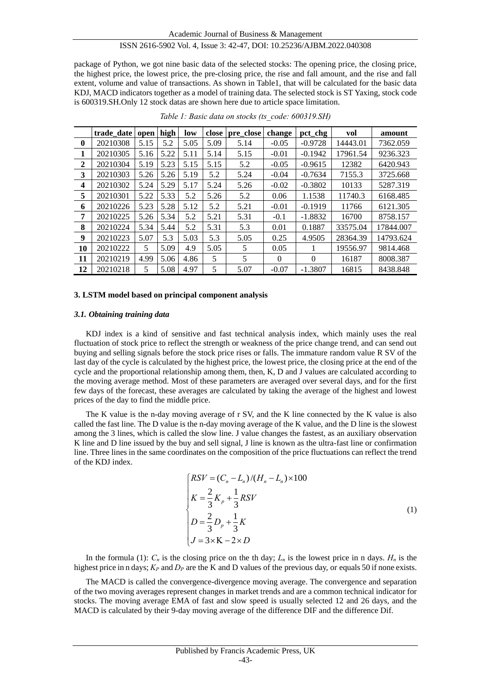package of Python, we got nine basic data of the selected stocks: The opening price, the closing price, the highest price, the lowest price, the pre-closing price, the rise and fall amount, and the rise and fall extent, volume and value of transactions. As shown in Table1, that will be calculated for the basic data KDJ, MACD indicators together as a model of training data. The selected stock is ST Yaxing, stock code is 600319.SH.Only 12 stock datas are shown here due to article space limitation.

|                | trade date open |      | high | low  | close | pre close | change   | pct_chg   | vol      | amount    |
|----------------|-----------------|------|------|------|-------|-----------|----------|-----------|----------|-----------|
| $\bf{0}$       | 20210308        | 5.15 | 5.2  | 5.05 | 5.09  | 5.14      | $-0.05$  | $-0.9728$ | 14443.01 | 7362.059  |
| 1              | 20210305        | 5.16 | 5.22 | 5.11 | 5.14  | 5.15      | $-0.01$  | $-0.1942$ | 17961.54 | 9236.323  |
| $\overline{2}$ | 20210304        | 5.19 | 5.23 | 5.15 | 5.15  | 5.2       | $-0.05$  | $-0.9615$ | 12382    | 6420.943  |
| 3              | 20210303        | 5.26 | 5.26 | 5.19 | 5.2   | 5.24      | $-0.04$  | $-0.7634$ | 7155.3   | 3725.668  |
| 4              | 20210302        | 5.24 | 5.29 | 5.17 | 5.24  | 5.26      | $-0.02$  | $-0.3802$ | 10133    | 5287.319  |
| 5              | 20210301        | 5.22 | 5.33 | 5.2  | 5.26  | 5.2       | 0.06     | 1.1538    | 11740.3  | 6168.485  |
| 6              | 20210226        | 5.23 | 5.28 | 5.12 | 5.2   | 5.21      | $-0.01$  | $-0.1919$ | 11766    | 6121.305  |
| 7              | 20210225        | 5.26 | 5.34 | 5.2  | 5.21  | 5.31      | $-0.1$   | $-1.8832$ | 16700    | 8758.157  |
| 8              | 20210224        | 5.34 | 5.44 | 5.2  | 5.31  | 5.3       | 0.01     | 0.1887    | 33575.04 | 17844.007 |
| 9              | 20210223        | 5.07 | 5.3  | 5.03 | 5.3   | 5.05      | 0.25     | 4.9505    | 28364.39 | 14793.624 |
| 10             | 20210222        | 5    | 5.09 | 4.9  | 5.05  | 5         | 0.05     | 1         | 19556.97 | 9814.468  |
| 11             | 20210219        | 4.99 | 5.06 | 4.86 | 5     | 5         | $\Omega$ | $\Omega$  | 16187    | 8008.387  |
| 12             | 20210218        | 5    | 5.08 | 4.97 | 5     | 5.07      | $-0.07$  | $-1.3807$ | 16815    | 8438.848  |

*Table 1: Basic data on stocks (ts\_code: 600319.SH)*

#### **3. LSTM model based on principal component analysis**

## *3.1. Obtaining training data*

KDJ index is a kind of sensitive and fast technical analysis index, which mainly uses the real fluctuation of stock price to reflect the strength or weakness of the price change trend, and can send out buying and selling signals before the stock price rises or falls. The immature random value R SV of the last day of the cycle is calculated by the highest price, the lowest price, the closing price at the end of the cycle and the proportional relationship among them, then, K, D and J values are calculated according to the moving average method. Most of these parameters are averaged over several days, and for the first few days of the forecast, these averages are calculated by taking the average of the highest and lowest prices of the day to find the middle price.

The K value is the n-day moving average of r SV, and the K line connected by the K value is also called the fast line. The D value is the n-day moving average of the K value, and the D line is the slowest among the 3 lines, which is called the slow line. J value changes the fastest, as an auxiliary observation K line and D line issued by the buy and sell signal, J line is known as the ultra-fast line or confirmation line. Three lines in the same coordinates on the composition of the price fluctuations can reflect the trend of the KDJ index.

$$
\begin{cases}\nRSV = (C_n - L_n)/(H_n - L_n) \times 100 \\
K = \frac{2}{3}K_p + \frac{1}{3}RSV \\
D = \frac{2}{3}D_p + \frac{1}{3}K \\
J = 3 \times K - 2 \times D\n\end{cases}
$$
\n(1)

In the formula (1):  $C_n$  is the closing price on the th day;  $L_n$  is the lowest price in n days.  $H_n$  is the highest price in n days;  $K_P$  and  $D_P$  are the K and D values of the previous day, or equals 50 if none exists.

The MACD is called the convergence-divergence moving average. The convergence and separation of the two moving averages represent changes in market trends and are a common technical indicator for stocks. The moving average EMA of fast and slow speed is usually selected 12 and 26 days, and the MACD is calculated by their 9-day moving average of the difference DIF and the difference Dif.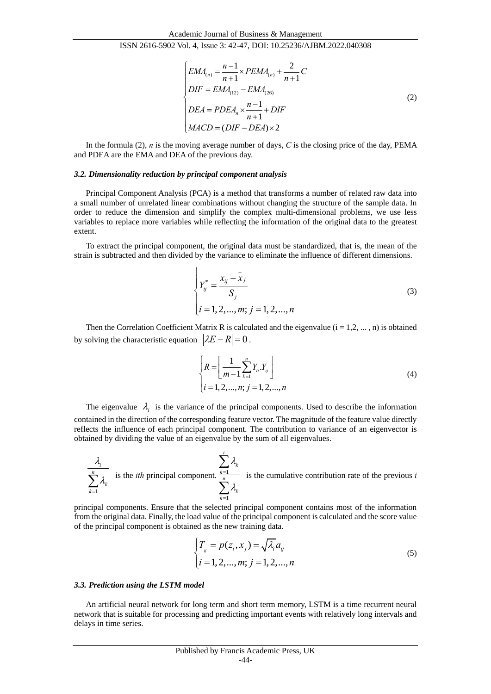$$
\begin{cases}\nEMA_{(n)} = \frac{n-1}{n+1} \times PEMA_{(n)} + \frac{2}{n+1}C \\
DIF = EMA_{(12)} - EMA_{(26)} \\
DEA = PDEA_n \times \frac{n-1}{n+1} + DIF \\
MACD = (DIF - DEA) \times 2\n\end{cases}
$$
\n(2)

In the formula (2), *n* is the moving average number of days, *C* is the closing price of the day, PEMA and PDEA are the EMA and DEA of the previous day.

#### *3.2. Dimensionality reduction by principal component analysis*

Principal Component Analysis (PCA) is a method that transforms a number of related raw data into a small number of unrelated linear combinations without changing the structure of the sample data. In order to reduce the dimension and simplify the complex multi-dimensional problems, we use less variables to replace more variables while reflecting the information of the original data to the greatest extent.

To extract the principal component, the original data must be standardized, that is, the mean of the strain is subtracted and then divided by the variance to eliminate the influence of different dimensions.

$$
\begin{cases}\nY_{ij}^{*} = \frac{x_{ij} - \bar{x}_{j}}{S_{j}} \\
i = 1, 2, ..., m; j = 1, 2, ..., n\n\end{cases}
$$
\n(3)

Then the Correlation Coefficient Matrix R is calculated and the eigenvalue  $(i = 1, 2, ..., n)$  is obtained by solving the characteristic equation  $|\lambda E - R| = 0$ .

$$
\begin{cases}\nR = \left[\frac{1}{m-1} \sum_{k=1}^{n} Y_i \cdot Y_{ij}\right] \\
i = 1, 2, \dots, n; j = 1, 2, \dots, n\n\end{cases}
$$
\n(4)

The eigenvalue  $\lambda_i$  is the variance of the principal components. Used to describe the information contained in the direction of the corresponding feature vector. The magnitude of the feature value directly reflects the influence of each principal component. The contribution to variance of an eigenvector is obtained by dividing the value of an eigenvalue by the sum of all eigenvalues.

1 *i n k k*  $\lambda$ .  $\lambda_{\scriptscriptstyle\! L}$  $\sum_{k=1}^{n} \lambda_k$  is the *ith* principal component.  $\sum_{k=1}^{n}$ 1 *i k k n k k*  $\lambda$  $\lambda$ = =  $\sum$  $\sum$ is the cumulative contribution rate of the previous *i*

principal components. Ensure that the selected principal component contains most of the information from the original data. Finally, the load value of the principal component is calculated and the score value of the principal component is obtained as the new training data.

$$
\begin{cases}\nT_{ij} = p(z_i, x_j) = \sqrt{\lambda_i} a_{ij} \\
i = 1, 2, ..., m; j = 1, 2, ..., n\n\end{cases}
$$
\n(5)

#### *3.3. Prediction using the LSTM model*

An artificial neural network for long term and short term memory, LSTM is a time recurrent neural network that is suitable for processing and predicting important events with relatively long intervals and delays in time series.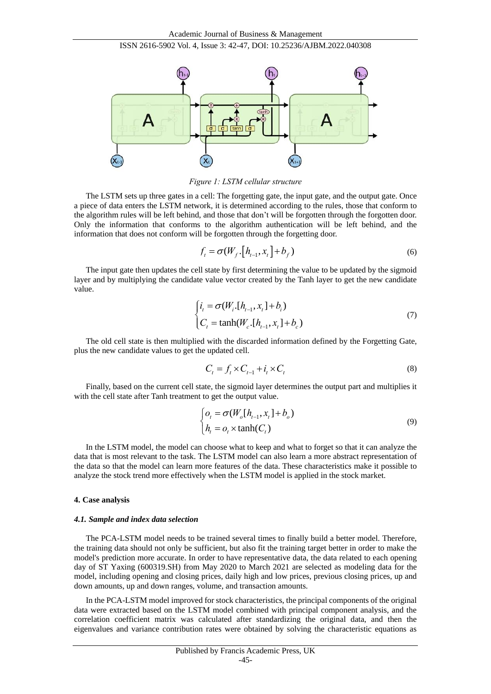

*Figure 1: LSTM cellular structure*

The LSTM sets up three gates in a cell: The forgetting gate, the input gate, and the output gate. Once a piece of data enters the LSTM network, it is determined according to the rules, those that conform to the algorithm rules will be left behind, and those that don't will be forgotten through the forgotten door. Only the information that conforms to the algorithm authentication will be left behind, and the information that does not conform will be forgotten through the forgetting door.

$$
f_{t} = \sigma(W_{f} \cdot [h_{t-1}, x_{t}] + b_{f})
$$
\n(6)

The input gate then updates the cell state by first determining the value to be updated by the sigmoid layer and by multiplying the candidate value vector created by the Tanh layer to get the new candidate value.

$$
\begin{cases}\ni_{t} = \sigma(W_{i} \cdot [h_{t-1}, x_{t}] + b_{i}) \\
C_{t} = \tanh(W_{c} \cdot [h_{t-1}, x_{t}] + b_{c})\n\end{cases}
$$
\n(7)

The old cell state is then multiplied with the discarded information defined by the Forgetting Gate, plus the new candidate values to get the updated cell.

$$
C_t = f_t \times C_{t-1} + i_t \times C_t \tag{8}
$$

Finally, based on the current cell state, the sigmoid layer determines the output part and multiplies it with the cell state after Tanh treatment to get the output value.

$$
\begin{cases}\n o_t = \sigma(W_o[h_{t-1}, x_t] + b_o) \\
 h_t = o_t \times \tanh(C_t)\n\end{cases}
$$
\n(9)

In the LSTM model, the model can choose what to keep and what to forget so that it can analyze the data that is most relevant to the task. The LSTM model can also learn a more abstract representation of the data so that the model can learn more features of the data. These characteristics make it possible to analyze the stock trend more effectively when the LSTM model is applied in the stock market.

## **4. Case analysis**

#### *4.1. Sample and index data selection*

The PCA-LSTM model needs to be trained several times to finally build a better model. Therefore, the training data should not only be sufficient, but also fit the training target better in order to make the model's prediction more accurate. In order to have representative data, the data related to each opening day of ST Yaxing (600319.SH) from May 2020 to March 2021 are selected as modeling data for the model, including opening and closing prices, daily high and low prices, previous closing prices, up and down amounts, up and down ranges, volume, and transaction amounts.

In the PCA-LSTM model improved for stock characteristics, the principal components of the original data were extracted based on the LSTM model combined with principal component analysis, and the correlation coefficient matrix was calculated after standardizing the original data, and then the eigenvalues and variance contribution rates were obtained by solving the characteristic equations as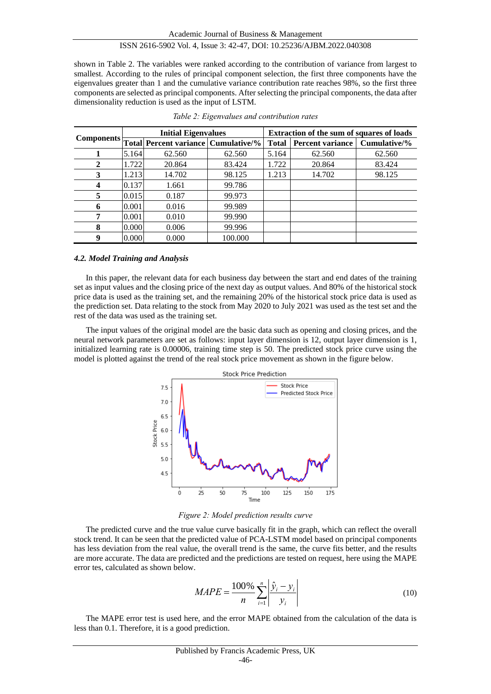shown in Table 2. The variables were ranked according to the contribution of variance from largest to smallest. According to the rules of principal component selection, the first three components have the eigenvalues greater than 1 and the cumulative variance contribution rate reaches 98%, so the first three components are selected as principal components. After selecting the principal components, the data after dimensionality reduction is used as the input of LSTM.

|   |       | <b>Initial Eigenvalues</b>                     |         | <b>Extraction of the sum of squares of loads</b> |                         |              |  |
|---|-------|------------------------------------------------|---------|--------------------------------------------------|-------------------------|--------------|--|
|   |       | Components Total Percent variance Cumulative/% |         | <b>Total</b>                                     | <b>Percent variance</b> | Cumulative/% |  |
|   | 5.164 | 62.560                                         | 62.560  | 5.164                                            | 62.560                  | 62.560       |  |
| 2 | 1.722 | 20.864                                         | 83.424  | 1.722                                            | 20.864                  | 83.424       |  |
| 3 | 1.213 | 14.702                                         | 98.125  | 1.213                                            | 14.702                  | 98.125       |  |
| 4 | 0.137 | 1.661                                          | 99.786  |                                                  |                         |              |  |
| 5 | 0.015 | 0.187                                          | 99.973  |                                                  |                         |              |  |
| 6 | 0.001 | 0.016                                          | 99.989  |                                                  |                         |              |  |
|   | 0.001 | 0.010                                          | 99.990  |                                                  |                         |              |  |
| 8 | 0.000 | 0.006                                          | 99.996  |                                                  |                         |              |  |
| 9 | 0.000 | 0.000                                          | 100.000 |                                                  |                         |              |  |

*Table 2: Eigenvalues and contribution rates*

#### *4.2. Model Training and Analysis*

In this paper, the relevant data for each business day between the start and end dates of the training set as input values and the closing price of the next day as output values. And 80% of the historical stock price data is used as the training set, and the remaining 20% of the historical stock price data is used as the prediction set. Data relating to the stock from May 2020 to July 2021 was used as the test set and the rest of the data was used as the training set.

The input values of the original model are the basic data such as opening and closing prices, and the neural network parameters are set as follows: input layer dimension is 12, output layer dimension is 1, initialized learning rate is 0.00006, training time step is 50. The predicted stock price curve using the model is plotted against the trend of the real stock price movement as shown in the figure below.



*Figure 2: Model prediction results curve*

The predicted curve and the true value curve basically fit in the graph, which can reflect the overall stock trend. It can be seen that the predicted value of PCA-LSTM model based on principal components has less deviation from the real value, the overall trend is the same, the curve fits better, and the results are more accurate. The data are predicted and the predictions are tested on request, here using the MAPE error tes, calculated as shown below.

$$
MAPE = \frac{100\%}{n} \sum_{i=1}^{n} \left| \frac{\hat{y}_i - y_i}{y_i} \right| \tag{10}
$$

The MAPE error test is used here, and the error MAPE obtained from the calculation of the data is less than 0.1. Therefore, it is a good prediction.